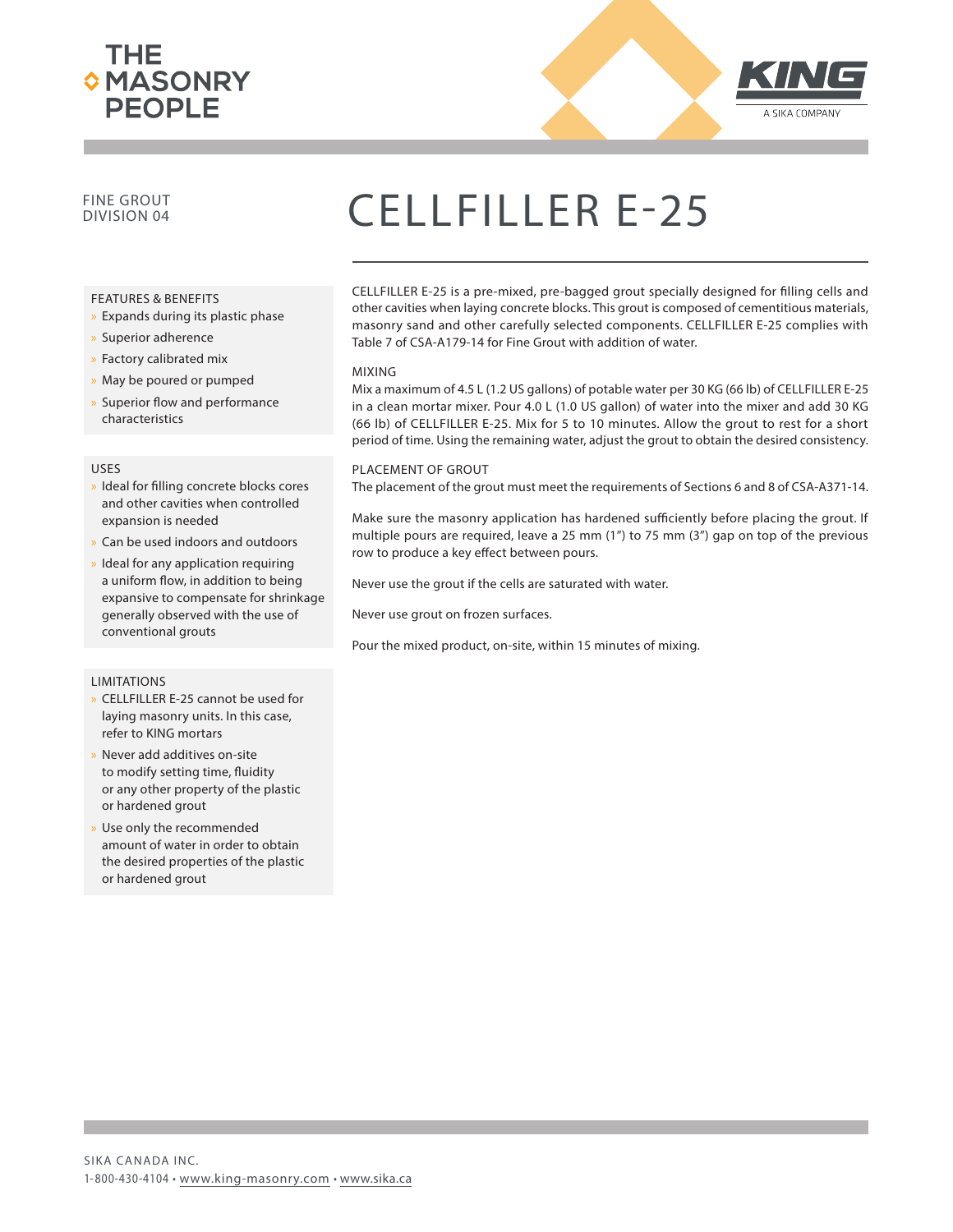



### FINE GROUT

#### FEATURES & BENEFITS

- » Expands during its plastic phase
- x Superior adherence
- x Factory calibrated mix
- » May be poured or pumped
- » Superior flow and performance characteristics

#### USES

- » Ideal for filling concrete blocks cores and other cavities when controlled expansion is needed
- Can be used indoors and outdoors
- Ideal for any application requiring a uniform flow, in addition to being expansive to compensate for shrinkage generally observed with the use of conventional grouts

#### LIMITATIONS

- » CELLFILLER E-25 cannot be used for laying masonry units. In this case, refer to KING mortars
- Never add additives on-site to modify setting time, fluidity or any other property of the plastic or hardened grout
- Use only the recommended amount of water in order to obtain the desired properties of the plastic or hardened grout

## CELLFILLER E-25

CELLFILLER E-25 is a pre-mixed, pre-bagged grout specially designed for filling cells and other cavities when laying concrete blocks. This grout is composed of cementitious materials, masonry sand and other carefully selected components. CELLFILLER E-25 complies with Table 7 of CSA-A179-14 for Fine Grout with addition of water.

#### MIXING

Mix a maximum of 4.5 L (1.2 US gallons) of potable water per 30 KG (66 lb) of CELLFILLER E-25 in a clean mortar mixer. Pour 4.0 L (1.0 US gallon) of water into the mixer and add 30 KG (66 lb) of CELLFILLER E-25. Mix for 5 to 10 minutes. Allow the grout to rest for a short period of time. Using the remaining water, adjust the grout to obtain the desired consistency.

#### PLACEMENT OF GROUT

The placement of the grout must meet the requirements of Sections 6 and 8 of CSA-A371-14.

Make sure the masonry application has hardened sufficiently before placing the grout. If multiple pours are required, leave a 25 mm (1") to 75 mm (3") gap on top of the previous row to produce a key effect between pours.

Never use the grout if the cells are saturated with water.

Never use grout on frozen surfaces.

Pour the mixed product, on-site, within 15 minutes of mixing.